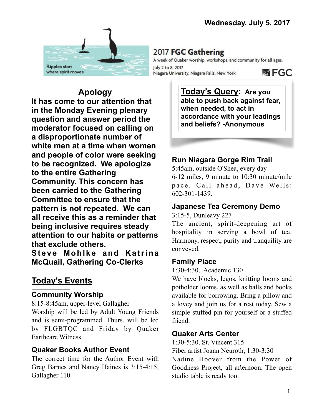

# 2017 FGC Gathering

A week of Quaker worship, workshops, and community for all ages. July 2 to 8, 2017 Niagara University, Niagara Falls, New York

**函 FGC** 

**Apology It has come to our attention that in the Monday Evening plenary question and answer period the moderator focused on calling on a disproportionate number of white men at a time when women and people of color were seeking to be recognized. We apologize to the entire Gathering Community. This concern has been carried to the Gathering Committee to ensure that the pattern is not repeated. We can all receive this as a reminder that being inclusive requires steady attention to our habits or patterns that exclude others.** 

**Steve Mohlke and Katrina McQuail, Gathering Co-Clerks**

# **Today's Events**

#### **Community Worship**

8:15-8:45am, upper-level Gallagher Worship will be led by Adult Young Friends and is semi-programmed. Thurs. will be led by FLGBTQC and Friday by Quaker Earthcare Witness.

### **Quaker Books Author Event**

The correct time for the Author Event with Greg Barnes and Nancy Haines is 3:15-4:15, Gallagher 110.

**Today's Query: Are you able to push back against fear, when needed, to act in accordance with your leadings and beliefs? -Anonymous**

# **Run Niagara Gorge Rim Trail**

5:45am, outside O'Shea, every day 6-12 miles, 9 minute to 10:30 minute/mile pace. Call ahead, Dave Wells: 602-301-1439.

### **Japanese Tea Ceremony Demo**

3:15-5, Dunleavy 227

The ancient, spirit-deepening art of hospitality in serving a bowl of tea. Harmony, respect, purity and tranquility are conveyed.

### **Family Place**

1:30-4:30, Academic 130

We have blocks, legos, knitting looms and potholder looms, as well as balls and books available for borrowing. Bring a pillow and a lovey and join us for a rest today. Sew a simple stuffed pin for yourself or a stuffed friend.

### **Quaker Arts Center**

1:30-5:30, St. Vincent 315

Fiber artist Joann Neuroth, 1:30-3:30

Nadine Hoover from the Power of Goodness Project, all afternoon. The open studio table is ready too.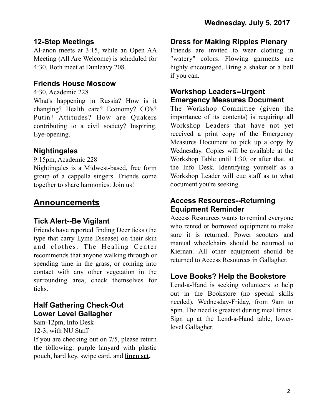### **12-Step Meetings**

Al-anon meets at 3:15, while an Open AA Meeting (All Are Welcome) is scheduled for 4:30. Both meet at Dunleavy 208.

#### **Friends House Moscow**

4:30, Academic 228

What's happening in Russia? How is it changing? Health care? Economy? CO's? Putin? Attitudes? How are Quakers contributing to a civil society? Inspiring. Eye-opening.

### **Nightingales**

9:15pm, Academic 228

Nightingales is a Midwest-based, free form group of a cappella singers. Friends come together to share harmonies. Join us!

# **Announcements**

### **Tick Alert--Be Vigilant**

Friends have reported finding Deer ticks (the type that carry Lyme Disease) on their skin and clothes. The Healing Center recommends that anyone walking through or spending time in the grass, or coming into contact with any other vegetation in the surrounding area, check themselves for ticks.

# **Half Gathering Check-Out Lower Level Gallagher**

8am-12pm, Info Desk 12-3, with NU Staff

If you are checking out on 7/5, please return the following: purple lanyard with plastic pouch, hard key, swipe card, and **linen set.**

#### **Dress for Making Ripples Plenary**

Friends are invited to wear clothing in "watery" colors. Flowing garments are highly encouraged. Bring a shaker or a bell if you can.

#### **Workshop Leaders--Urgent Emergency Measures Document**

The Workshop Committee (given the importance of its contents) is requiring all Workshop Leaders that have not yet received a print copy of the Emergency Measures Document to pick up a copy by Wednesday. Copies will be available at the Workshop Table until 1:30, or after that, at the Info Desk. Identifying yourself as a Workshop Leader will cue staff as to what document you're seeking.

#### **Access Resources--Returning Equipment Reminder**

Access Resources wants to remind everyone who rented or borrowed equipment to make sure it is returned. Power scooters and manual wheelchairs should be returned to Kiernan. All other equipment should be returned to Access Resources in Gallagher.

# **Love Books? Help the Bookstore**

Lend-a-Hand is seeking volunteers to help out in the Bookstore (no special skills needed), Wednesday-Friday, from 9am to 8pm. The need is greatest during meal times. Sign up at the Lend-a-Hand table, lowerlevel Gallagher.